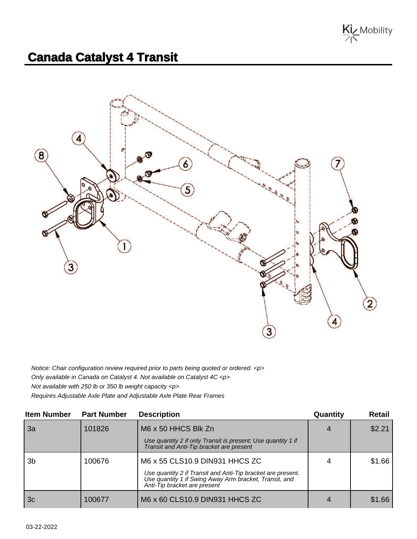

## **Canada Catalyst 4 Transit**



Notice: Chair configuration review required prior to parts being quoted or ordered. <p> Only available in Canada on Catalyst 4. Not available on Catalyst 4C <p> Not available with 250 lb or 350 lb weight capacity <p> Requires Adjustable Axle Plate and Adjustable Axle Plate Rear Frames

| <b>Item Number</b> | <b>Part Number</b> | <b>Description</b>                                                                                                                                    | Quantity | <b>Retail</b> |
|--------------------|--------------------|-------------------------------------------------------------------------------------------------------------------------------------------------------|----------|---------------|
| 3a                 | 101826             | M6 x 50 HHCS Blk Zn                                                                                                                                   |          | \$2.21        |
|                    |                    | Use quantity 2 if only Transit is present; Use quantity 1 if<br>Transit and Anti-Tip bracket are present                                              |          |               |
| 3 <sub>b</sub>     | 100676             | M6 x 55 CLS10.9 DIN931 HHCS ZC                                                                                                                        |          | \$1.66        |
|                    |                    | Use quantity 2 if Transit and Anti-Tip bracket are present.<br>Use quantity 1 if Swing Away Arm bracket, Transit, and<br>Anti-Tip bracket are present |          |               |
| 3c                 | 100677             | M6 x 60 CLS10.9 DIN931 HHCS ZC                                                                                                                        |          | \$1.66        |